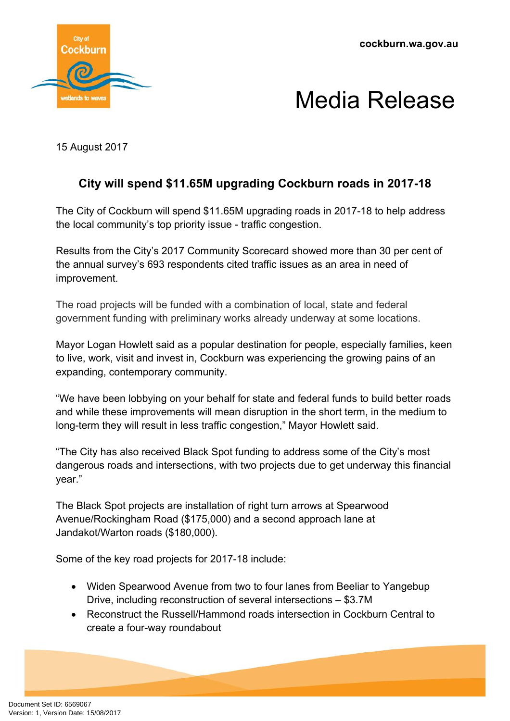**cockburn.wa.gov.au**





15 August 2017

## **City will spend \$11.65M upgrading Cockburn roads in 2017-18**

The City of Cockburn will spend \$11.65M upgrading roads in 2017-18 to help address the local community's top priority issue - traffic congestion.

Results from the City's 2017 Community Scorecard showed more than 30 per cent of the annual survey's 693 respondents cited traffic issues as an area in need of improvement.

The road projects will be funded with a combination of local, state and federal government funding with preliminary works already underway at some locations.

Mayor Logan Howlett said as a popular destination for people, especially families, keen to live, work, visit and invest in, Cockburn was experiencing the growing pains of an expanding, contemporary community.

"We have been lobbying on your behalf for state and federal funds to build better roads and while these improvements will mean disruption in the short term, in the medium to long-term they will result in less traffic congestion," Mayor Howlett said.

"The City has also received Black Spot funding to address some of the City's most dangerous roads and intersections, with two projects due to get underway this financial year."

The Black Spot projects are installation of right turn arrows at Spearwood Avenue/Rockingham Road (\$175,000) and a second approach lane at Jandakot/Warton roads (\$180,000).

Some of the key road projects for 2017-18 include:

- Widen Spearwood Avenue from two to four lanes from Beeliar to Yangebup Drive, including reconstruction of several intersections – \$3.7M
- Reconstruct the Russell/Hammond roads intersection in Cockburn Central to create a four-way roundabout